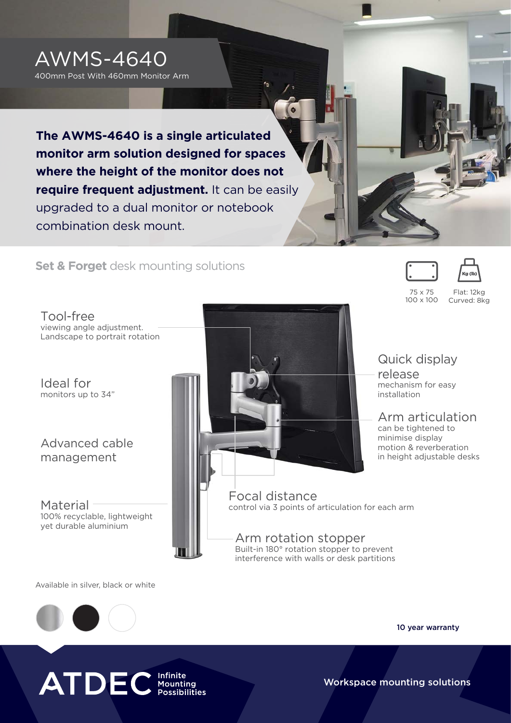

400mm Post With 460mm Monitor Arm

**The AWMS-4640 is a single articulated monitor arm solution designed for spaces where the height of the monitor does not require frequent adjustment.** It can be easily upgraded to a dual monitor or notebook combination desk mount.

**Set & Forget** desk mounting solutions

Tool-free viewing angle adjustment. Landscape to portrait rotation

Ideal for monitors up to 34"

Advanced cable management

100% recyclable, lightweight yet durable aluminium



75 x 75 100 x 100

Flat: 12kg Curved: 8kg

# Quick display

release mechanism for easy installation

## Arm articulation

can be tightened to minimise display motion & reverberation in height adjustable desks

Arm rotation stopper Built-in 180° rotation stopper to prevent interference with walls or desk partitions

Available in silver, black or white



10 year warranty

Workspace mounting solutions